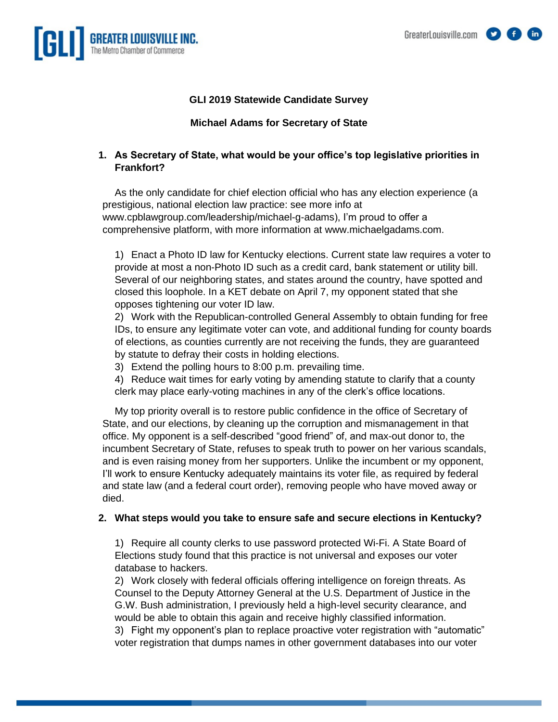

# **GLI 2019 Statewide Candidate Survey**

#### **Michael Adams for Secretary of State**

## **1. As Secretary of State, what would be your office's top legislative priorities in Frankfort?**

As the only candidate for chief election official who has any election experience (a prestigious, national election law practice: see more info at [www.cpblawgroup.com/leadership/michael-g-adams\)](http://www.cpblawgroup.com/leadership/michael-g-adams), I'm proud to offer a comprehensive platform, with more information at [www.michaelgadams.com.](http://www.michaelgadams.com/)

1) Enact a Photo ID law for Kentucky elections. Current state law requires a voter to provide at most a non-Photo ID such as a credit card, bank statement or utility bill. Several of our neighboring states, and states around the country, have spotted and closed this loophole. In a KET debate on April 7, my opponent stated that she opposes tightening our voter ID law.

2) Work with the Republican-controlled General Assembly to obtain funding for free IDs, to ensure any legitimate voter can vote, and additional funding for county boards of elections, as counties currently are not receiving the funds, they are guaranteed by statute to defray their costs in holding elections.

3) Extend the polling hours to 8:00 p.m. prevailing time.

4) Reduce wait times for early voting by amending statute to clarify that a county clerk may place early-voting machines in any of the clerk's office locations.

My top priority overall is to restore public confidence in the office of Secretary of State, and our elections, by cleaning up the corruption and mismanagement in that office. My opponent is a self-described "good friend" of, and max-out donor to, the incumbent Secretary of State, refuses to speak truth to power on her various scandals, and is even raising money from her supporters. Unlike the incumbent or my opponent, I'll work to ensure Kentucky adequately maintains its voter file, as required by federal and state law (and a federal court order), removing people who have moved away or died.

#### **2. What steps would you take to ensure safe and secure elections in Kentucky?**

1) Require all county clerks to use password protected Wi-Fi. A State Board of Elections study found that this practice is not universal and exposes our voter database to hackers.

2) Work closely with federal officials offering intelligence on foreign threats. As Counsel to the Deputy Attorney General at the U.S. Department of Justice in the G.W. Bush administration, I previously held a high-level security clearance, and would be able to obtain this again and receive highly classified information. 3) Fight my opponent's plan to replace proactive voter registration with "automatic" voter registration that dumps names in other government databases into our voter